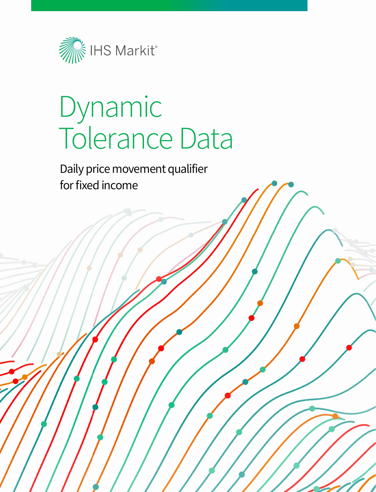

# Dynamic Tolerance Data

Daily price movement qualifier for fixed income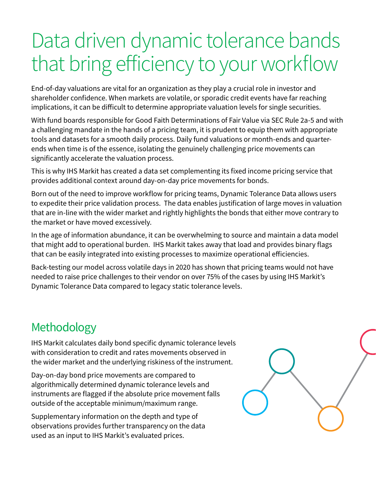## Data driven dynamic tolerance bands that bring efficiency to your workflow

End-of-day valuations are vital for an organization as they play a crucial role in investor and shareholder confidence. When markets are volatile, or sporadic credit events have far reaching implications, it can be difficult to determine appropriate valuation levels for single securities.

With fund boards responsible for Good Faith Determinations of Fair Value via SEC Rule 2a-5 and with a challenging mandate in the hands of a pricing team, it is prudent to equip them with appropriate tools and datasets for a smooth daily process. Daily fund valuations or month-ends and quarterends when time is of the essence, isolating the genuinely challenging price movements can significantly accelerate the valuation process.

This is why IHS Markit has created a data set complementing its fixed income pricing service that provides additional context around day-on-day price movements for bonds.

Born out of the need to improve workflow for pricing teams, Dynamic Tolerance Data allows users to expedite their price validation process. The data enables justification of large moves in valuation that are in-line with the wider market and rightly highlights the bonds that either move contrary to the market or have moved excessively.

In the age of information abundance, it can be overwhelming to source and maintain a data model that might add to operational burden. IHS Markit takes away that load and provides binary flags that can be easily integrated into existing processes to maximize operational efficiencies.

Back-testing our model across volatile days in 2020 has shown that pricing teams would not have needed to raise price challenges to their vendor on over 75% of the cases by using IHS Markit's Dynamic Tolerance Data compared to legacy static tolerance levels.

## Methodology

IHS Markit calculates daily bond specific dynamic tolerance levels with consideration to credit and rates movements observed in the wider market and the underlying riskiness of the instrument.

Day-on-day bond price movements are compared to algorithmically determined dynamic tolerance levels and instruments are flagged if the absolute price movement falls outside of the acceptable minimum/maximum range.

Supplementary information on the depth and type of observations provides further transparency on the data used as an input to IHS Markit's evaluated prices.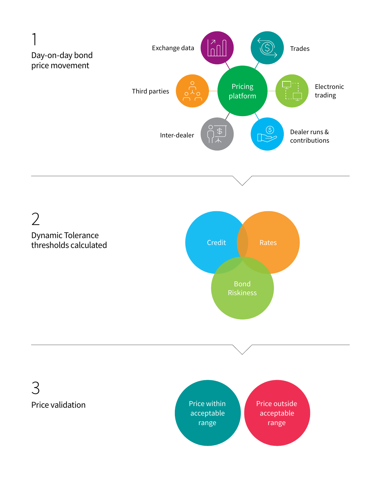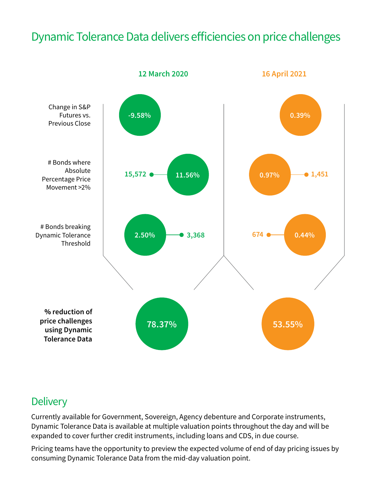## Dynamic Tolerance Data delivers efficiencies on price challenges



### **Delivery**

Currently available for Government, Sovereign, Agency debenture and Corporate instruments, Dynamic Tolerance Data is available at multiple valuation points throughout the day and will be expanded to cover further credit instruments, including loans and CDS, in due course.

Pricing teams have the opportunity to preview the expected volume of end of day pricing issues by consuming Dynamic Tolerance Data from the mid-day valuation point.